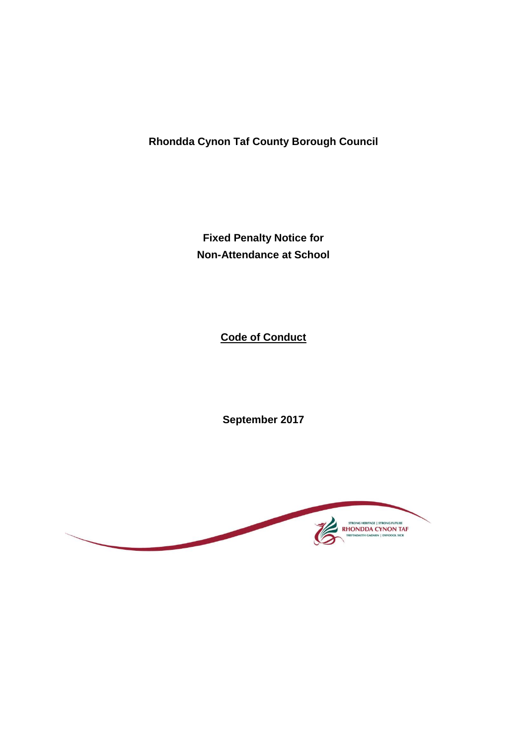**Rhondda Cynon Taf County Borough Council**

**Fixed Penalty Notice for Non-Attendance at School**

**Code of Conduct**

**September 2017**

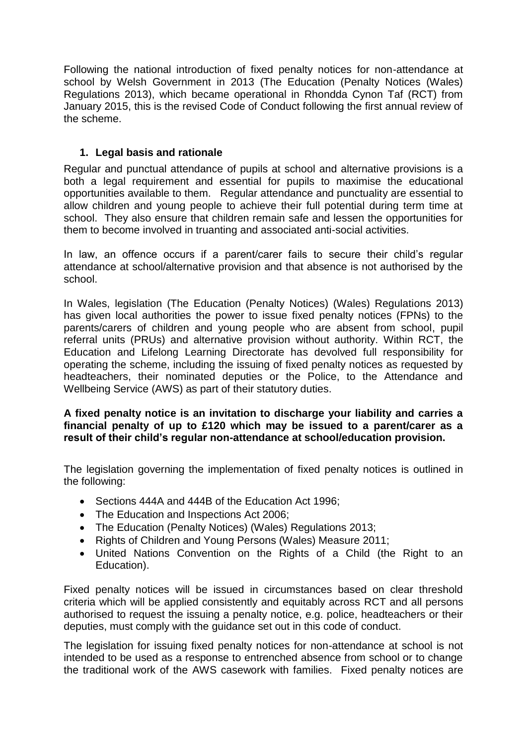Following the national introduction of fixed penalty notices for non-attendance at school by Welsh Government in 2013 (The Education (Penalty Notices (Wales) Regulations 2013), which became operational in Rhondda Cynon Taf (RCT) from January 2015, this is the revised Code of Conduct following the first annual review of the scheme.

# **1. Legal basis and rationale**

Regular and punctual attendance of pupils at school and alternative provisions is a both a legal requirement and essential for pupils to maximise the educational opportunities available to them. Regular attendance and punctuality are essential to allow children and young people to achieve their full potential during term time at school. They also ensure that children remain safe and lessen the opportunities for them to become involved in truanting and associated anti-social activities.

In law, an offence occurs if a parent/carer fails to secure their child's regular attendance at school/alternative provision and that absence is not authorised by the school.

In Wales, legislation (The Education (Penalty Notices) (Wales) Regulations 2013) has given local authorities the power to issue fixed penalty notices (FPNs) to the parents/carers of children and young people who are absent from school, pupil referral units (PRUs) and alternative provision without authority. Within RCT, the Education and Lifelong Learning Directorate has devolved full responsibility for operating the scheme, including the issuing of fixed penalty notices as requested by headteachers, their nominated deputies or the Police, to the Attendance and Wellbeing Service (AWS) as part of their statutory duties.

### **A fixed penalty notice is an invitation to discharge your liability and carries a financial penalty of up to £120 which may be issued to a parent/carer as a result of their child's regular non-attendance at school/education provision.**

The legislation governing the implementation of fixed penalty notices is outlined in the following:

- Sections 444A and 444B of the Education Act 1996;
- The Education and Inspections Act 2006;
- The Education (Penalty Notices) (Wales) Regulations 2013;
- Rights of Children and Young Persons (Wales) Measure 2011;
- United Nations Convention on the Rights of a Child (the Right to an Education).

Fixed penalty notices will be issued in circumstances based on clear threshold criteria which will be applied consistently and equitably across RCT and all persons authorised to request the issuing a penalty notice, e.g. police, headteachers or their deputies, must comply with the guidance set out in this code of conduct.

The legislation for issuing fixed penalty notices for non-attendance at school is not intended to be used as a response to entrenched absence from school or to change the traditional work of the AWS casework with families. Fixed penalty notices are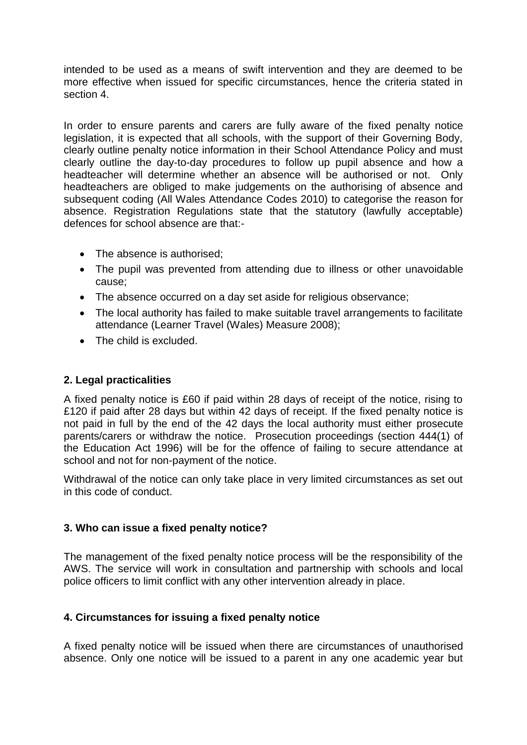intended to be used as a means of swift intervention and they are deemed to be more effective when issued for specific circumstances, hence the criteria stated in section 4.

In order to ensure parents and carers are fully aware of the fixed penalty notice legislation, it is expected that all schools, with the support of their Governing Body, clearly outline penalty notice information in their School Attendance Policy and must clearly outline the day-to-day procedures to follow up pupil absence and how a headteacher will determine whether an absence will be authorised or not. Only headteachers are obliged to make judgements on the authorising of absence and subsequent coding (All Wales Attendance Codes 2010) to categorise the reason for absence. Registration Regulations state that the statutory (lawfully acceptable) defences for school absence are that:-

- The absence is authorised:
- The pupil was prevented from attending due to illness or other unavoidable cause;
- The absence occurred on a day set aside for religious observance;
- The local authority has failed to make suitable travel arrangements to facilitate attendance (Learner Travel (Wales) Measure 2008);
- The child is excluded.

### **2. Legal practicalities**

A fixed penalty notice is £60 if paid within 28 days of receipt of the notice, rising to £120 if paid after 28 days but within 42 days of receipt. If the fixed penalty notice is not paid in full by the end of the 42 days the local authority must either prosecute parents/carers or withdraw the notice. Prosecution proceedings (section 444(1) of the Education Act 1996) will be for the offence of failing to secure attendance at school and not for non-payment of the notice.

Withdrawal of the notice can only take place in very limited circumstances as set out in this code of conduct.

### **3. Who can issue a fixed penalty notice?**

The management of the fixed penalty notice process will be the responsibility of the AWS. The service will work in consultation and partnership with schools and local police officers to limit conflict with any other intervention already in place.

### **4. Circumstances for issuing a fixed penalty notice**

A fixed penalty notice will be issued when there are circumstances of unauthorised absence. Only one notice will be issued to a parent in any one academic year but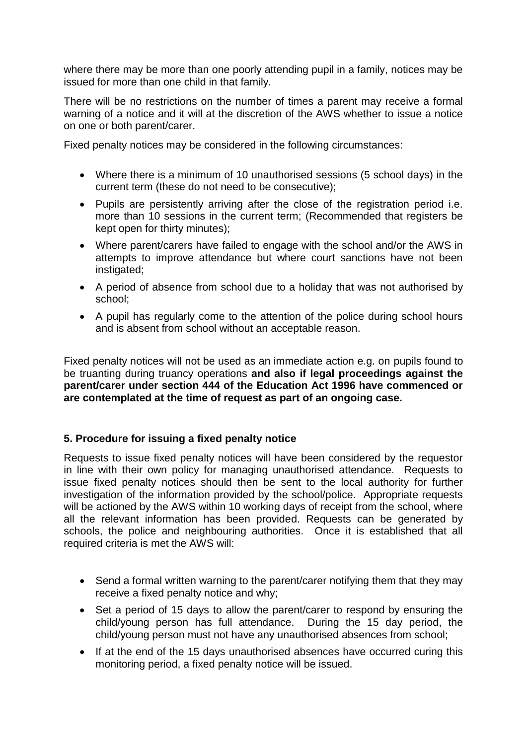where there may be more than one poorly attending pupil in a family, notices may be issued for more than one child in that family.

There will be no restrictions on the number of times a parent may receive a formal warning of a notice and it will at the discretion of the AWS whether to issue a notice on one or both parent/carer.

Fixed penalty notices may be considered in the following circumstances:

- Where there is a minimum of 10 unauthorised sessions (5 school days) in the current term (these do not need to be consecutive);
- Pupils are persistently arriving after the close of the registration period i.e. more than 10 sessions in the current term; (Recommended that registers be kept open for thirty minutes);
- Where parent/carers have failed to engage with the school and/or the AWS in attempts to improve attendance but where court sanctions have not been instigated;
- A period of absence from school due to a holiday that was not authorised by school;
- A pupil has regularly come to the attention of the police during school hours and is absent from school without an acceptable reason.

Fixed penalty notices will not be used as an immediate action e.g. on pupils found to be truanting during truancy operations **and also if legal proceedings against the parent/carer under section 444 of the Education Act 1996 have commenced or are contemplated at the time of request as part of an ongoing case.**

# **5. Procedure for issuing a fixed penalty notice**

Requests to issue fixed penalty notices will have been considered by the requestor in line with their own policy for managing unauthorised attendance. Requests to issue fixed penalty notices should then be sent to the local authority for further investigation of the information provided by the school/police. Appropriate requests will be actioned by the AWS within 10 working days of receipt from the school, where all the relevant information has been provided. Requests can be generated by schools, the police and neighbouring authorities. Once it is established that all required criteria is met the AWS will:

- Send a formal written warning to the parent/carer notifying them that they may receive a fixed penalty notice and why;
- Set a period of 15 days to allow the parent/carer to respond by ensuring the child/young person has full attendance. During the 15 day period, the child/young person must not have any unauthorised absences from school;
- If at the end of the 15 days unauthorised absences have occurred curing this monitoring period, a fixed penalty notice will be issued.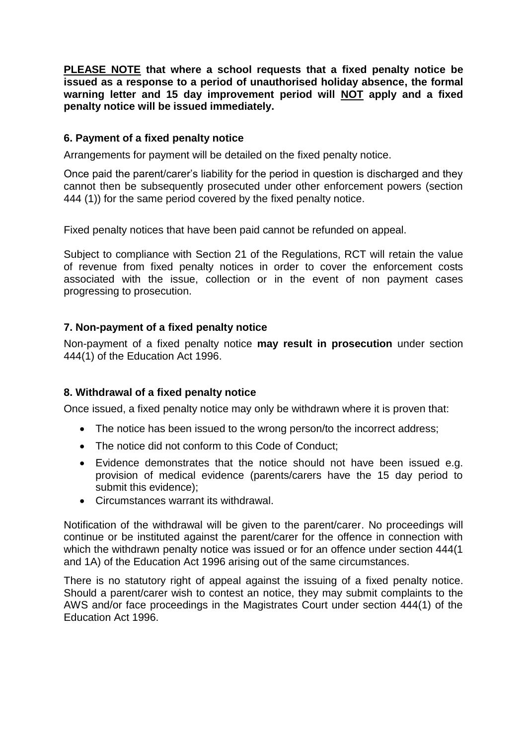**PLEASE NOTE that where a school requests that a fixed penalty notice be issued as a response to a period of unauthorised holiday absence, the formal warning letter and 15 day improvement period will NOT apply and a fixed penalty notice will be issued immediately.** 

## **6. Payment of a fixed penalty notice**

Arrangements for payment will be detailed on the fixed penalty notice.

Once paid the parent/carer's liability for the period in question is discharged and they cannot then be subsequently prosecuted under other enforcement powers (section 444 (1)) for the same period covered by the fixed penalty notice.

Fixed penalty notices that have been paid cannot be refunded on appeal.

Subject to compliance with Section 21 of the Regulations, RCT will retain the value of revenue from fixed penalty notices in order to cover the enforcement costs associated with the issue, collection or in the event of non payment cases progressing to prosecution.

### **7. Non-payment of a fixed penalty notice**

Non-payment of a fixed penalty notice **may result in prosecution** under section 444(1) of the Education Act 1996.

### **8. Withdrawal of a fixed penalty notice**

Once issued, a fixed penalty notice may only be withdrawn where it is proven that:

- The notice has been issued to the wrong person/to the incorrect address;
- The notice did not conform to this Code of Conduct;
- Evidence demonstrates that the notice should not have been issued e.g. provision of medical evidence (parents/carers have the 15 day period to submit this evidence);
- Circumstances warrant its withdrawal.

Notification of the withdrawal will be given to the parent/carer. No proceedings will continue or be instituted against the parent/carer for the offence in connection with which the withdrawn penalty notice was issued or for an offence under section 444(1) and 1A) of the Education Act 1996 arising out of the same circumstances.

There is no statutory right of appeal against the issuing of a fixed penalty notice. Should a parent/carer wish to contest an notice, they may submit complaints to the AWS and/or face proceedings in the Magistrates Court under section 444(1) of the Education Act 1996.